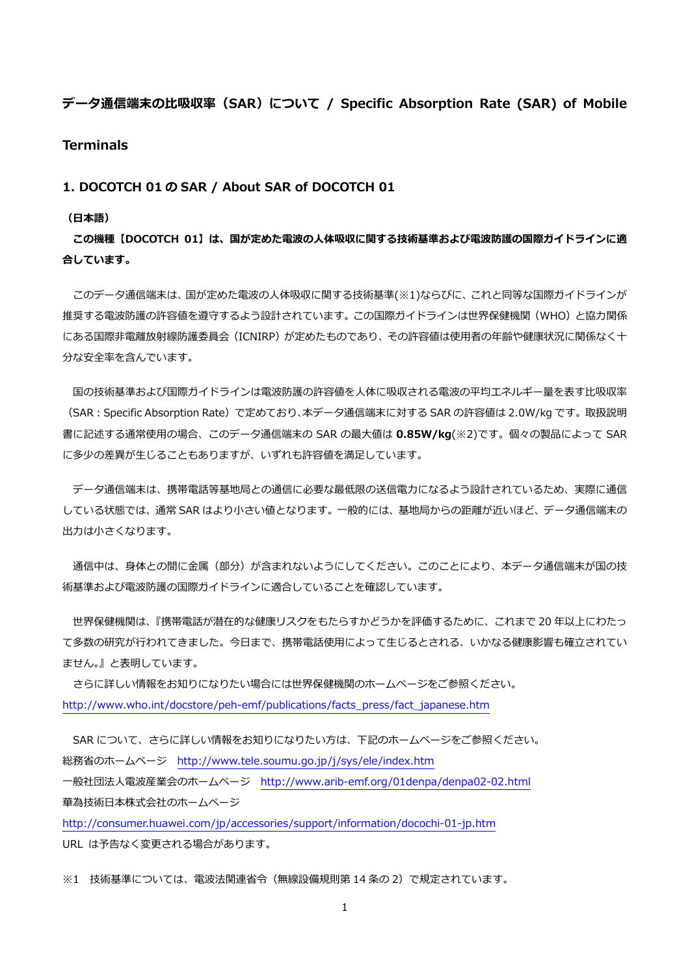# **データ通信端末の⽐吸収率(SAR)について / Specific Absorption Rate (SAR) of Mobile Terminals**

### **1. DOCOTCH 01 の SAR / About SAR of DOCOTCH 01**

#### **(⽇本語)**

**この機種【DOCOTCH 01】は、国が定めた電波の⼈体吸収に関する技術基準および電波防護の国際ガイドラインに適 合しています。** 

このデータ通信端末は、国が定めた電波の人体吸収に関する技術基準(※1)ならびに、これと同等な国際ガイドラインが 推奨する電波防護の許容値を遵守するよう設計されています。この国際ガイドラインは世界保健機関(WHO)と協力関係 にある国際非電離放射線防護委員会(ICNIRP)が定めたものであり、その許容値は使用者の年齢や健康状況に関係なく十 分な安全率を含んでいます。

国の技術基準および国際ガイドラインは電波防護の許容値を人体に吸収される電波の平均エネルギー量を表す比吸収率 (SAR:Specific Absorption Rate)で定めており、本データ通信端末に対する SAR の許容値は 2.0W/kg です。取扱説明 書に記述する通常使⽤の場合、このデータ通信端末の SAR の最⼤値は **0.85W/kg**(※2)です。個々の製品によって SAR に多少の差異が生じることもありますが、いずれも許容値を満足しています。

 データ通信端末は、携帯電話等基地局との通信に必要な最低限の送信電⼒になるよう設計されているため、実際に通信 している状態では、通常 SAR はより⼩さい値となります。⼀般的には、基地局からの距離が近いほど、データ通信端末の 出力は小さくなります。

通信中は、身体との間に金属(部分)が含まれないようにしてください。このことにより、本データ通信端末が国の技 術基準および電波防護の国際ガイドラインに適合していることを確認しています。

世界保健機関は、『携帯電話が潜在的な健康リスクをもたらすかどうかを評価するために、これまで 20 年以上にわたっ て多数の研究が行われてきました。今日まで、携帯電話使用によって生じるとされる、いかなる健康影響も確立されてい ません。』と表明しています。

 さらに詳しい情報をお知りになりたい場合には世界保健機関のホームページをご参照ください。 http://www.who.int/docstore/peh-emf/publications/facts\_press/fact\_japanese.htm

SAR について、さらに詳しい情報をお知りになりたい方は、下記のホームページをご参照ください。 総務省のホームページ http://www.tele.soumu.go.jp/j/sys/ele/index.htm ⼀般社団法⼈電波産業会のホームページ http://www.arib-emf.org/01denpa/denpa02-02.html 華為技術⽇本株式会社のホームページ

http://consumer.huawei.com/jp/accessories/support/information/docochi-01-jp.htm URL は予告なく変更される場合があります。

※1 技術基準については、電波法関連省令(無線設備規則第14条の2)で規定されています。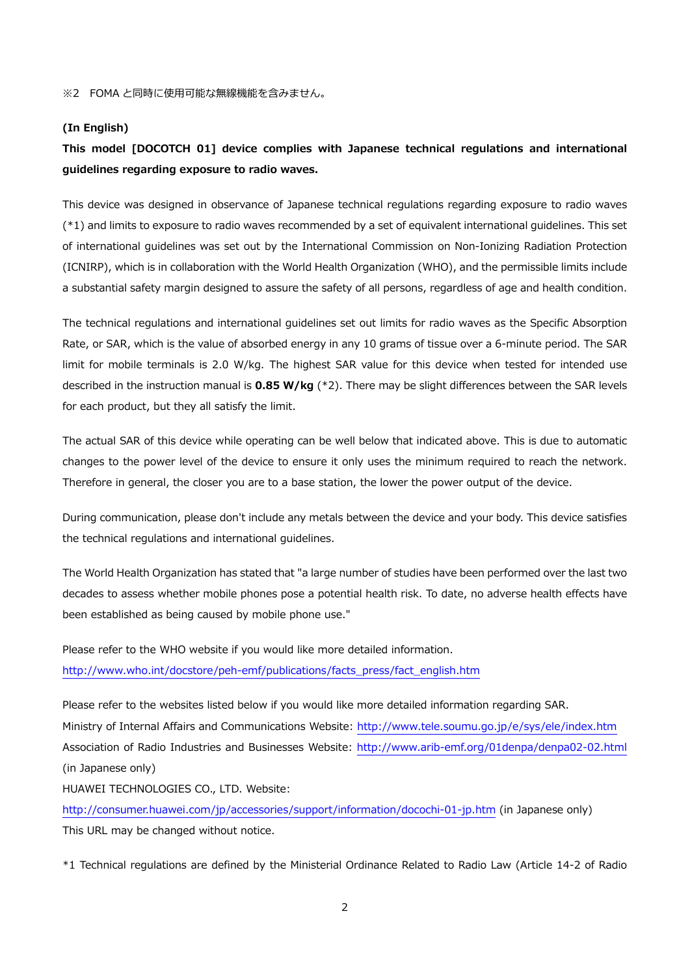#### **(In English)**

## **This model [DOCOTCH 01] device complies with Japanese technical regulations and international guidelines regarding exposure to radio waves.**

This device was designed in observance of Japanese technical regulations regarding exposure to radio waves (\*1) and limits to exposure to radio waves recommended by a set of equivalent international guidelines. This set of international guidelines was set out by the International Commission on Non-Ionizing Radiation Protection (ICNIRP), which is in collaboration with the World Health Organization (WHO), and the permissible limits include a substantial safety margin designed to assure the safety of all persons, regardless of age and health condition.

The technical regulations and international guidelines set out limits for radio waves as the Specific Absorption Rate, or SAR, which is the value of absorbed energy in any 10 grams of tissue over a 6-minute period. The SAR limit for mobile terminals is 2.0 W/kg. The highest SAR value for this device when tested for intended use described in the instruction manual is **0.85 W/kg** (\*2). There may be slight differences between the SAR levels for each product, but they all satisfy the limit.

The actual SAR of this device while operating can be well below that indicated above. This is due to automatic changes to the power level of the device to ensure it only uses the minimum required to reach the network. Therefore in general, the closer you are to a base station, the lower the power output of the device.

During communication, please don't include any metals between the device and your body. This device satisfies the technical regulations and international guidelines.

The World Health Organization has stated that "a large number of studies have been performed over the last two decades to assess whether mobile phones pose a potential health risk. To date, no adverse health effects have been established as being caused by mobile phone use."

Please refer to the WHO website if you would like more detailed information. http://www.who.int/docstore/peh-emf/publications/facts\_press/fact\_english.htm

Please refer to the websites listed below if you would like more detailed information regarding SAR. Ministry of Internal Affairs and Communications Website: http://www.tele.soumu.go.jp/e/sys/ele/index.htm Association of Radio Industries and Businesses Website: http://www.arib-emf.org/01denpa/denpa02-02.html (in Japanese only)

HUAWEI TECHNOLOGIES CO., LTD. Website:

http://consumer.huawei.com/jp/accessories/support/information/docochi-01-jp.htm (in Japanese only) This URL may be changed without notice.

\*1 Technical regulations are defined by the Ministerial Ordinance Related to Radio Law (Article 14-2 of Radio